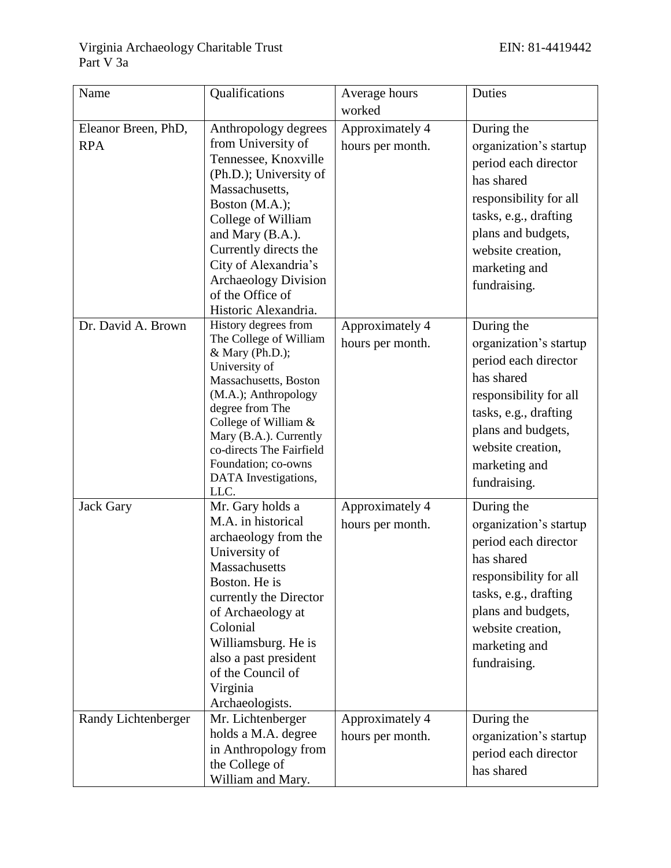| Name                              | Qualifications                                                                                                                                                                                                                                                                                         | Average hours                       | Duties                                                                                                                                                                                                    |
|-----------------------------------|--------------------------------------------------------------------------------------------------------------------------------------------------------------------------------------------------------------------------------------------------------------------------------------------------------|-------------------------------------|-----------------------------------------------------------------------------------------------------------------------------------------------------------------------------------------------------------|
|                                   |                                                                                                                                                                                                                                                                                                        | worked                              |                                                                                                                                                                                                           |
| Eleanor Breen, PhD,<br><b>RPA</b> | Anthropology degrees<br>from University of<br>Tennessee, Knoxville<br>(Ph.D.); University of<br>Massachusetts,<br>Boston (M.A.);<br>College of William<br>and Mary (B.A.).<br>Currently directs the<br>City of Alexandria's<br><b>Archaeology Division</b><br>of the Office of<br>Historic Alexandria. | Approximately 4<br>hours per month. | During the<br>organization's startup<br>period each director<br>has shared<br>responsibility for all<br>tasks, e.g., drafting<br>plans and budgets,<br>website creation,<br>marketing and<br>fundraising. |
| Dr. David A. Brown                | History degrees from<br>The College of William<br>& Mary (Ph.D.);<br>University of<br>Massachusetts, Boston<br>(M.A.); Anthropology<br>degree from The<br>College of William &<br>Mary (B.A.). Currently<br>co-directs The Fairfield<br>Foundation; co-owns<br>DATA Investigations,<br>LLC.            | Approximately 4<br>hours per month. | During the<br>organization's startup<br>period each director<br>has shared<br>responsibility for all<br>tasks, e.g., drafting<br>plans and budgets,<br>website creation,<br>marketing and<br>fundraising. |
| <b>Jack Gary</b>                  | Mr. Gary holds a<br>M.A. in historical<br>archaeology from the<br>University of<br>Massachusetts<br>Boston. He is<br>currently the Director<br>of Archaeology at<br>Colonial<br>Williamsburg. He is<br>also a past president<br>of the Council of<br>Virginia<br>Archaeologists.                       | Approximately 4<br>hours per month. | During the<br>organization's startup<br>period each director<br>has shared<br>responsibility for all<br>tasks, e.g., drafting<br>plans and budgets,<br>website creation,<br>marketing and<br>fundraising. |
| Randy Lichtenberger               | Mr. Lichtenberger<br>holds a M.A. degree<br>in Anthropology from<br>the College of<br>William and Mary.                                                                                                                                                                                                | Approximately 4<br>hours per month. | During the<br>organization's startup<br>period each director<br>has shared                                                                                                                                |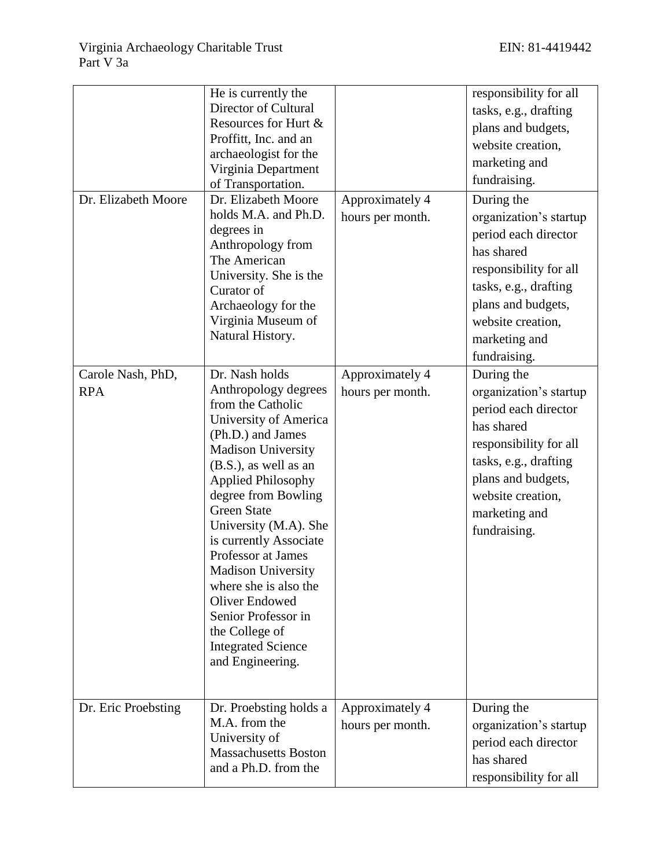| Dr. Elizabeth Moore             | He is currently the<br>Director of Cultural<br>Resources for Hurt &<br>Proffitt, Inc. and an<br>archaeologist for the<br>Virginia Department<br>of Transportation.<br>Dr. Elizabeth Moore<br>holds M.A. and Ph.D.<br>degrees in<br>Anthropology from<br>The American<br>University. She is the<br>Curator of<br>Archaeology for the<br>Virginia Museum of<br>Natural History.                                                                                                          | Approximately 4<br>hours per month. | responsibility for all<br>tasks, e.g., drafting<br>plans and budgets,<br>website creation,<br>marketing and<br>fundraising.<br>During the<br>organization's startup<br>period each director<br>has shared<br>responsibility for all<br>tasks, e.g., drafting<br>plans and budgets,<br>website creation,<br>marketing and<br>fundraising. |
|---------------------------------|----------------------------------------------------------------------------------------------------------------------------------------------------------------------------------------------------------------------------------------------------------------------------------------------------------------------------------------------------------------------------------------------------------------------------------------------------------------------------------------|-------------------------------------|------------------------------------------------------------------------------------------------------------------------------------------------------------------------------------------------------------------------------------------------------------------------------------------------------------------------------------------|
| Carole Nash, PhD,<br><b>RPA</b> | Dr. Nash holds<br>Anthropology degrees<br>from the Catholic<br>University of America<br>(Ph.D.) and James<br><b>Madison University</b><br>$(B.S.),$ as well as an<br><b>Applied Philosophy</b><br>degree from Bowling<br><b>Green State</b><br>University (M.A). She<br>is currently Associate<br>Professor at James<br><b>Madison University</b><br>where she is also the<br>Oliver Endowed<br>Senior Professor in<br>the College of<br><b>Integrated Science</b><br>and Engineering. | Approximately 4<br>hours per month. | During the<br>organization's startup<br>period each director<br>has shared<br>responsibility for all<br>tasks, e.g., drafting<br>plans and budgets,<br>website creation,<br>marketing and<br>fundraising.                                                                                                                                |
| Dr. Eric Proebsting             | Dr. Proebsting holds a<br>M.A. from the<br>University of<br><b>Massachusetts Boston</b><br>and a Ph.D. from the                                                                                                                                                                                                                                                                                                                                                                        | Approximately 4<br>hours per month. | During the<br>organization's startup<br>period each director<br>has shared<br>responsibility for all                                                                                                                                                                                                                                     |